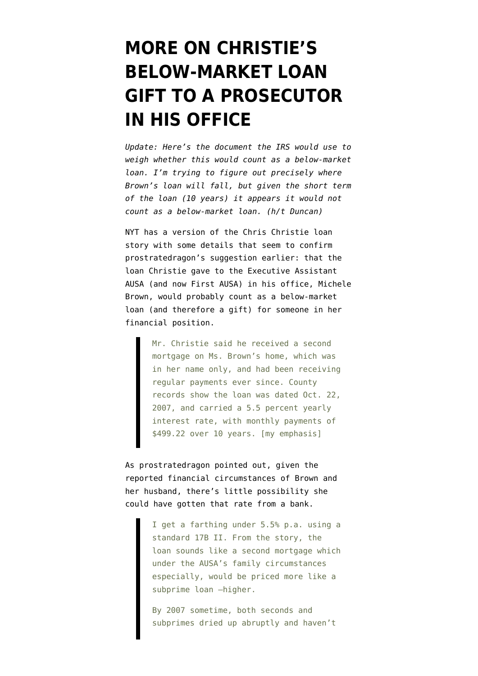## **[MORE ON CHRISTIE'S](https://www.emptywheel.net/2009/08/17/more-on-christies-below-market-loan-gift-to-a-prosecutor-in-his-office/) [BELOW-MARKET LOAN](https://www.emptywheel.net/2009/08/17/more-on-christies-below-market-loan-gift-to-a-prosecutor-in-his-office/) [GIFT TO A PROSECUTOR](https://www.emptywheel.net/2009/08/17/more-on-christies-below-market-loan-gift-to-a-prosecutor-in-his-office/) [IN HIS OFFICE](https://www.emptywheel.net/2009/08/17/more-on-christies-below-market-loan-gift-to-a-prosecutor-in-his-office/)**

*Update: Here's the [document](http://www.irs.gov/pub/irs-drop/rr-07-63.pdf) the IRS would use to weigh whether this would count as a below-market loan. I'm trying to figure out precisely where Brown's loan will fall, but given the short term of the loan (10 years) it appears it would not count as a below-market loan. (h/t Duncan)* 

NYT has a [version](http://www.nytimes.com/2009/08/18/nyregion/18christie.html) of the [Chris Christie loan](http://emptywheel.firedoglake.com/2009/08/17/the-46000-question-what-are-the-terms-for-christies-loan-to-njs-first-ausa/) [story](http://emptywheel.firedoglake.com/2009/08/17/the-46000-question-what-are-the-terms-for-christies-loan-to-njs-first-ausa/) with some details that seem to confirm prostratedragon's [suggestion](http://emptywheel.firedoglake.com/2009/08/17/the-46000-question-what-are-the-terms-for-christies-loan-to-njs-first-ausa/#comment-181720) earlier: that the loan Christie gave to the Executive Assistant AUSA (and now First AUSA) in his office, Michele Brown, would probably count as a below-market loan (and therefore a gift) for someone in her financial position.

> Mr. Christie said he received a second mortgage on Ms. Brown's home, which was in her name only, and had been receiving regular payments ever since. County records show the loan was dated Oct. 22, 2007, and carried a 5.5 percent yearly interest rate, with monthly payments of \$499.22 over 10 years. [my emphasis]

As prostratedragon pointed out, given the reported financial circumstances of Brown and her husband, there's little possibility she could have gotten that rate from a bank.

> I get a farthing under 5.5% p.a. using a standard 17B II. From the story, the loan sounds like a second mortgage which under the AUSA's family circumstances especially, would be priced more like a subprime loan —higher.

By 2007 sometime, both seconds and subprimes dried up abruptly and haven't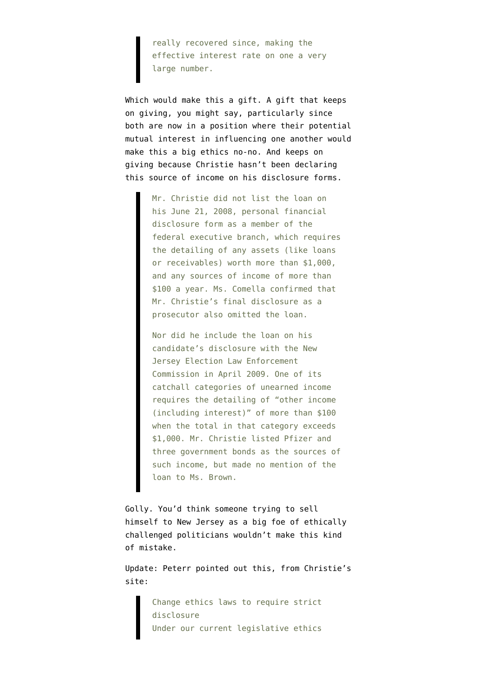really recovered since, making the effective interest rate on one a very large number.

Which would make this a gift. A gift that keeps on giving, you might say, particularly since both are now in a position where their potential mutual interest in influencing one another would make this a big ethics no-no. And keeps on giving because Christie hasn't been declaring this source of income on his disclosure forms.

> Mr. Christie did not list the loan on his June 21, 2008, personal financial disclosure form as a member of the federal executive branch, which requires the detailing of any assets (like loans or receivables) worth more than \$1,000, and any sources of income of more than \$100 a year. Ms. Comella confirmed that Mr. Christie's final disclosure as a prosecutor also omitted the loan.

> Nor did he include the loan on his candidate's disclosure with the New Jersey Election Law Enforcement Commission in April 2009. One of its catchall categories of unearned income requires the detailing of "other income (including interest)" of more than \$100 when the total in that category exceeds \$1,000. Mr. Christie listed Pfizer and three government bonds as the sources of such income, but made no mention of the loan to Ms. Brown.

Golly. You'd think someone trying to sell himself to New Jersey as a big foe of ethically challenged politicians wouldn't make this kind of mistake.

Update: Peterr pointed out this, from [Christie's](http://www.christiefornj.com/images/government.pdf) [site](http://www.christiefornj.com/images/government.pdf):

> Change ethics laws to require strict disclosure Under our current legislative ethics